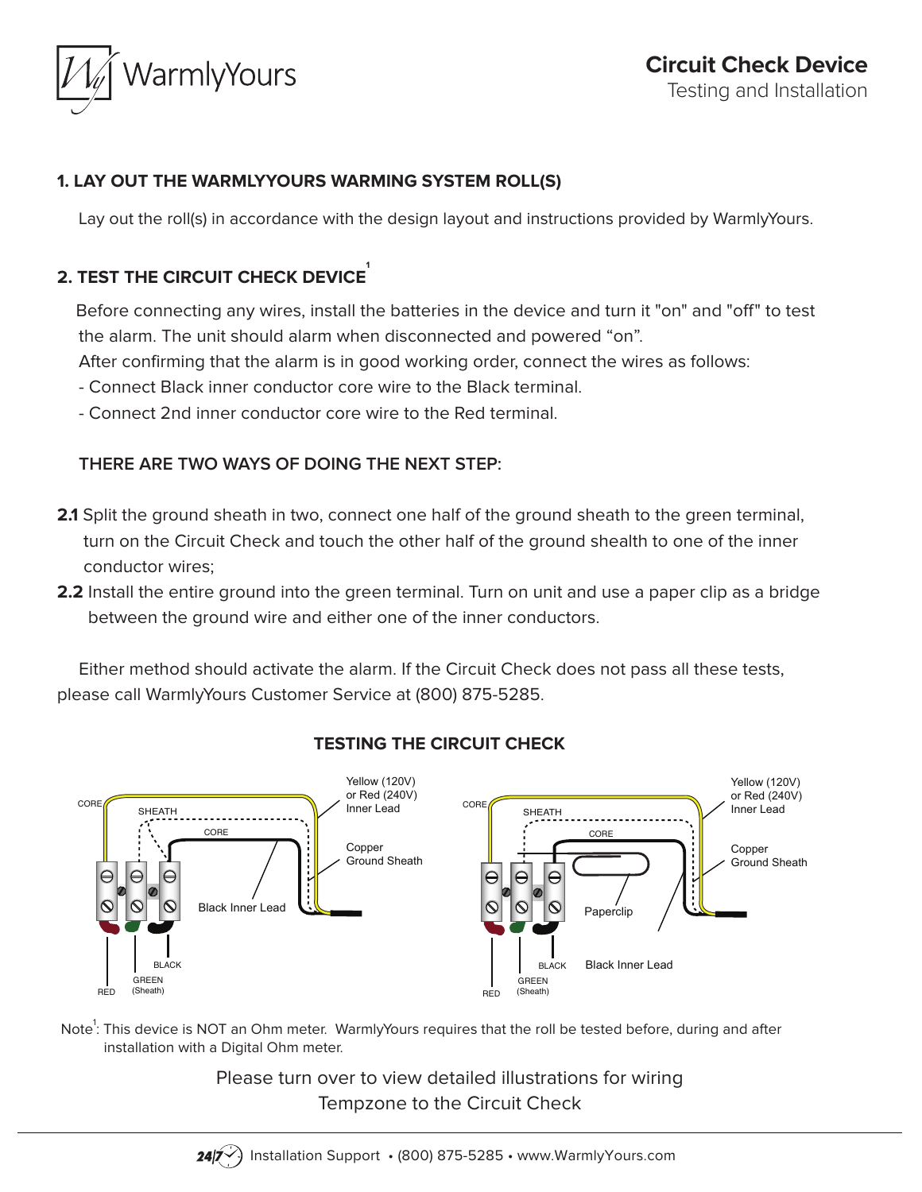

### **1. LAY OUT THE WARMLYYOURS WARMING SYSTEM ROLL(S)**

Lay out the roll(s) in accordance with the design layout and instructions provided by WarmlyYours.

# **2. TEST THE CIRCUIT CHECK DEVICE**

 Before connecting any wires, install the batteries in the device and turn it "on" and "off" to test the alarm. The unit should alarm when disconnected and powered "on".

After confirming that the alarm is in good working order, connect the wires as follows:

- Connect Black inner conductor core wire to the Black terminal.

- Connect 2nd inner conductor core wire to the Red terminal.

## **THERE ARE TWO WAYS OF DOING THE NEXT STEP:**

- **2.1** Split the ground sheath in two, connect one half of the ground sheath to the green terminal, turn on the Circuit Check and touch the other half of the ground shealth to one of the inner conductor wires;
- **2.2** Install the entire ground into the green terminal. Turn on unit and use a paper clip as a bridge between the ground wire and either one of the inner conductors.

 Either method should activate the alarm. If the Circuit Check does not pass all these tests, please call WarmlyYours Customer Service at (800) 875-5285.



**TESTING THE CIRCUIT CHECK**

Note $^1$ : This device is NOT an Ohm meter. WarmlyYours requires that the roll be tested before, during and after installation with a Digital Ohm meter.

> Please turn over to view detailed illustrations for wiring Tempzone to the Circuit Check